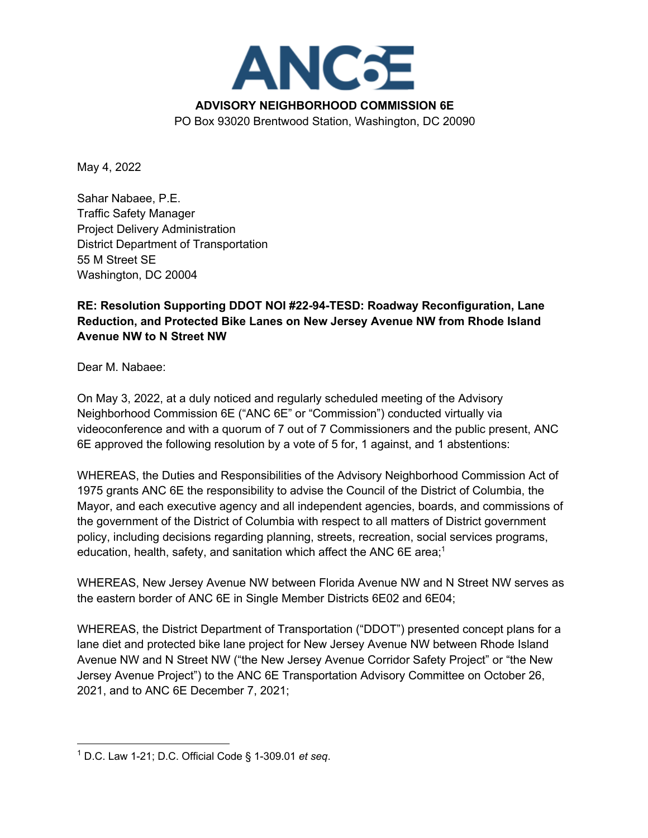

May 4, 2022

Sahar Nabaee, P.E. Traffic Safety Manager Project Delivery Administration District Department of Transportation 55 M Street SE Washington, DC 20004

## **RE: Resolution Supporting DDOT NOI #22-94-TESD: Roadway Reconfiguration, Lane Reduction, and Protected Bike Lanes on New Jersey Avenue NW from Rhode Island Avenue NW to N Street NW**

Dear M. Nabaee:

On May 3, 2022, at a duly noticed and regularly scheduled meeting of the Advisory Neighborhood Commission 6E ("ANC 6E" or "Commission") conducted virtually via videoconference and with a quorum of 7 out of 7 Commissioners and the public present, ANC 6E approved the following resolution by a vote of 5 for, 1 against, and 1 abstentions:

WHEREAS, the Duties and Responsibilities of the Advisory Neighborhood Commission Act of 1975 grants ANC 6E the responsibility to advise the Council of the District of Columbia, the Mayor, and each executive agency and all independent agencies, boards, and commissions of the government of the District of Columbia with respect to all matters of District government policy, including decisions regarding planning, streets, recreation, social services programs, education, health, safety, and sanitation which affect the ANC 6E area;<sup>1</sup>

WHEREAS, New Jersey Avenue NW between Florida Avenue NW and N Street NW serves as the eastern border of ANC 6E in Single Member Districts 6E02 and 6E04;

WHEREAS, the District Department of Transportation ("DDOT") presented concept plans for a lane diet and protected bike lane project for New Jersey Avenue NW between Rhode Island Avenue NW and N Street NW ("the New Jersey Avenue Corridor Safety Project" or "the New Jersey Avenue Project") to the ANC 6E Transportation Advisory Committee on October 26, 2021, and to ANC 6E December 7, 2021;

<sup>1</sup> D.C. Law 1-21; D.C. Official Code § 1-309.01 *et seq*.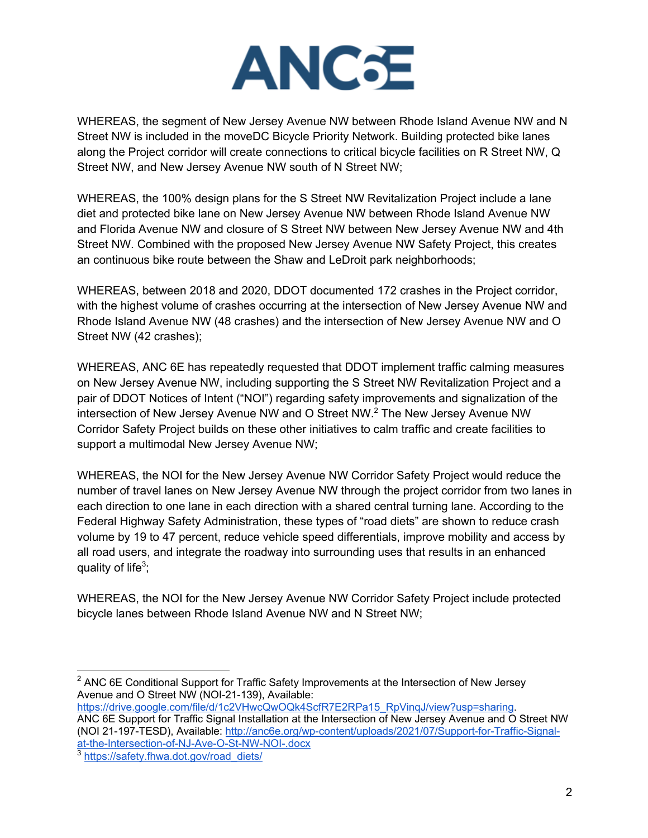

WHEREAS, the segment of New Jersey Avenue NW between Rhode Island Avenue NW and N Street NW is included in the moveDC Bicycle Priority Network. Building protected bike lanes along the Project corridor will create connections to critical bicycle facilities on R Street NW, Q Street NW, and New Jersey Avenue NW south of N Street NW;

WHEREAS, the 100% design plans for the S Street NW Revitalization Project include a lane diet and protected bike lane on New Jersey Avenue NW between Rhode Island Avenue NW and Florida Avenue NW and closure of S Street NW between New Jersey Avenue NW and 4th Street NW. Combined with the proposed New Jersey Avenue NW Safety Project, this creates an continuous bike route between the Shaw and LeDroit park neighborhoods;

WHEREAS, between 2018 and 2020, DDOT documented 172 crashes in the Project corridor, with the highest volume of crashes occurring at the intersection of New Jersey Avenue NW and Rhode Island Avenue NW (48 crashes) and the intersection of New Jersey Avenue NW and O Street NW (42 crashes);

WHEREAS, ANC 6E has repeatedly requested that DDOT implement traffic calming measures on New Jersey Avenue NW, including supporting the S Street NW Revitalization Project and a pair of DDOT Notices of Intent ("NOI") regarding safety improvements and signalization of the intersection of New Jersey Avenue NW and O Street NW.2 The New Jersey Avenue NW Corridor Safety Project builds on these other initiatives to calm traffic and create facilities to support a multimodal New Jersey Avenue NW;

WHEREAS, the NOI for the New Jersey Avenue NW Corridor Safety Project would reduce the number of travel lanes on New Jersey Avenue NW through the project corridor from two lanes in each direction to one lane in each direction with a shared central turning lane. According to the Federal Highway Safety Administration, these types of "road diets" are shown to reduce crash volume by 19 to 47 percent, reduce vehicle speed differentials, improve mobility and access by all road users, and integrate the roadway into surrounding uses that results in an enhanced quality of life<sup>3</sup>;

WHEREAS, the NOI for the New Jersey Avenue NW Corridor Safety Project include protected bicycle lanes between Rhode Island Avenue NW and N Street NW;

https://drive.google.com/file/d/1c2VHwcQwOQk4ScfR7E2RPa15\_RpVinqJ/view?usp=sharing. ANC 6E Support for Traffic Signal Installation at the Intersection of New Jersey Avenue and O Street NW (NOI 21-197-TESD), Available: http://anc6e.org/wp-content/uploads/2021/07/Support-for-Traffic-Signalat-the-Intersection-of-NJ-Ave-O-St-NW-NOI-.docx

 $2$  ANC 6E Conditional Support for Traffic Safety Improvements at the Intersection of New Jersey Avenue and O Street NW (NOI-21-139), Available:

<sup>&</sup>lt;sup>3</sup> https://safety.fhwa.dot.gov/road\_diets/